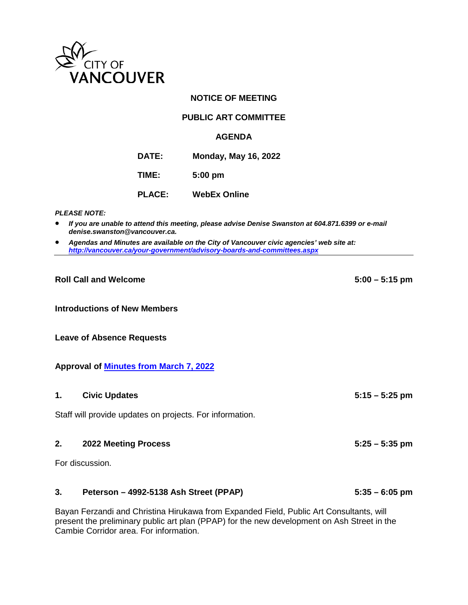

# **NOTICE OF MEETING**

# **PUBLIC ART COMMITTEE**

#### **AGENDA**

**DATE: Monday, May 16, 2022**

**TIME: 5:00 pm**

**PLACE: WebEx Online**

*PLEASE NOTE:*

- *If you are unable to attend this meeting, please advise Denise Swanston at 604.871.6399 or e-mail denise.swanston@vancouver.ca.*
- *Agendas and Minutes are available on the City of Vancouver civic agencies' web site at: <http://vancouver.ca/your-government/advisory-boards-and-committees.aspx>*

#### **Roll Call and Welcome 5:00 – 5:15 pm**

**Introductions of New Members**

**Leave of Absence Requests**

#### **Approval of Minutes [from March 7, 2022](https://vancouver.ca/docs/council/part20220307min.pdf)**

## **1. Civic Updates 5:15 – 5:25 pm**

Staff will provide updates on projects. For information.

#### **2. 2022 Meeting Process 5:25 – 5:35 pm**

For discussion.

# **3. Peterson – 4992-5138 Ash Street (PPAP) 5:35 – 6:05 pm**

Bayan Ferzandi and Christina Hirukawa from Expanded Field, Public Art Consultants, will present the preliminary public art plan (PPAP) for the new development on Ash Street in the Cambie Corridor area. For information.